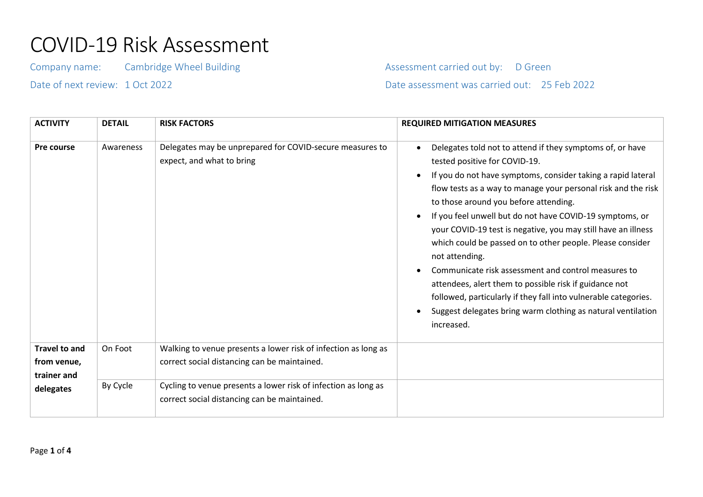## COVID-19 Risk Assessment

Company name: Cambridge Wheel Building Company Assessment carried out by: D Green

Date of next review: 1 Oct 2022 Date assessment was carried out: 25 Feb 2022

| <b>ACTIVITY</b>                                                 | <b>DETAIL</b> | <b>RISK FACTORS</b>                                                                                            | <b>REQUIRED MITIGATION MEASURES</b>                                                                                                                                                                                                                                                                                                                                                                                                                                                                                                                                                                                                                                                                                                                |
|-----------------------------------------------------------------|---------------|----------------------------------------------------------------------------------------------------------------|----------------------------------------------------------------------------------------------------------------------------------------------------------------------------------------------------------------------------------------------------------------------------------------------------------------------------------------------------------------------------------------------------------------------------------------------------------------------------------------------------------------------------------------------------------------------------------------------------------------------------------------------------------------------------------------------------------------------------------------------------|
| Pre course                                                      | Awareness     | Delegates may be unprepared for COVID-secure measures to<br>expect, and what to bring                          | Delegates told not to attend if they symptoms of, or have<br>tested positive for COVID-19.<br>If you do not have symptoms, consider taking a rapid lateral<br>flow tests as a way to manage your personal risk and the risk<br>to those around you before attending.<br>If you feel unwell but do not have COVID-19 symptoms, or<br>your COVID-19 test is negative, you may still have an illness<br>which could be passed on to other people. Please consider<br>not attending.<br>Communicate risk assessment and control measures to<br>attendees, alert them to possible risk if guidance not<br>followed, particularly if they fall into vulnerable categories.<br>Suggest delegates bring warm clothing as natural ventilation<br>increased. |
| <b>Travel to and</b><br>from venue,<br>trainer and<br>delegates | On Foot       | Walking to venue presents a lower risk of infection as long as<br>correct social distancing can be maintained. |                                                                                                                                                                                                                                                                                                                                                                                                                                                                                                                                                                                                                                                                                                                                                    |
|                                                                 | By Cycle      | Cycling to venue presents a lower risk of infection as long as<br>correct social distancing can be maintained. |                                                                                                                                                                                                                                                                                                                                                                                                                                                                                                                                                                                                                                                                                                                                                    |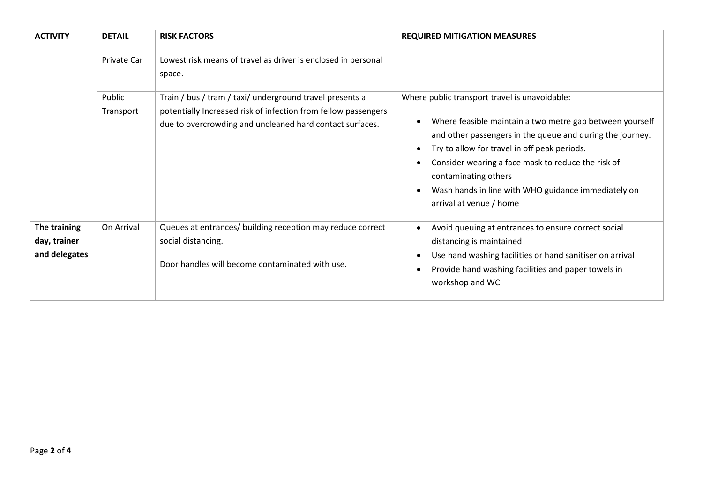| <b>ACTIVITY</b>                               | <b>DETAIL</b>       | <b>RISK FACTORS</b>                                                                                                                                                                    | <b>REQUIRED MITIGATION MEASURES</b>                                                                                                                                                                                                                                                                                                                                                    |
|-----------------------------------------------|---------------------|----------------------------------------------------------------------------------------------------------------------------------------------------------------------------------------|----------------------------------------------------------------------------------------------------------------------------------------------------------------------------------------------------------------------------------------------------------------------------------------------------------------------------------------------------------------------------------------|
|                                               | Private Car         | Lowest risk means of travel as driver is enclosed in personal<br>space.                                                                                                                |                                                                                                                                                                                                                                                                                                                                                                                        |
|                                               | Public<br>Transport | Train / bus / tram / taxi/ underground travel presents a<br>potentially Increased risk of infection from fellow passengers<br>due to overcrowding and uncleaned hard contact surfaces. | Where public transport travel is unavoidable:<br>Where feasible maintain a two metre gap between yourself<br>and other passengers in the queue and during the journey.<br>Try to allow for travel in off peak periods.<br>Consider wearing a face mask to reduce the risk of<br>contaminating others<br>Wash hands in line with WHO guidance immediately on<br>arrival at venue / home |
| The training<br>day, trainer<br>and delegates | On Arrival          | Queues at entrances/ building reception may reduce correct<br>social distancing.<br>Door handles will become contaminated with use.                                                    | Avoid queuing at entrances to ensure correct social<br>distancing is maintained<br>Use hand washing facilities or hand sanitiser on arrival<br>Provide hand washing facilities and paper towels in<br>workshop and WC                                                                                                                                                                  |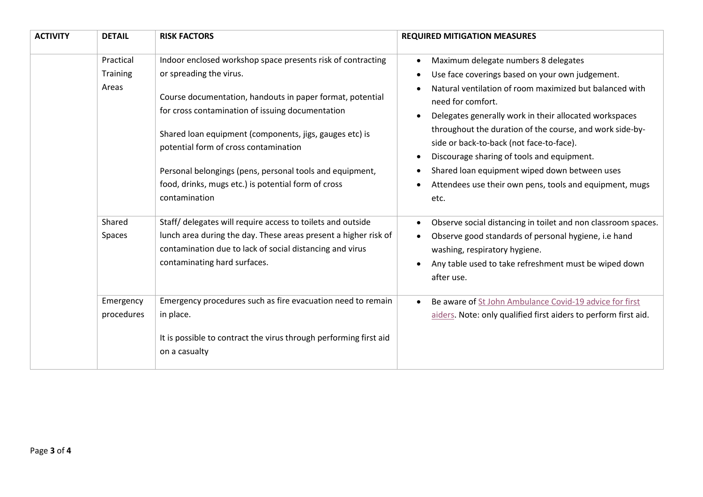| <b>ACTIVITY</b> | <b>DETAIL</b>           | <b>RISK FACTORS</b>                                                                                                                                                                                                                                                                                                                                   | <b>REQUIRED MITIGATION MEASURES</b>                                                                                                                                                                                                                                                                                                                                                                              |
|-----------------|-------------------------|-------------------------------------------------------------------------------------------------------------------------------------------------------------------------------------------------------------------------------------------------------------------------------------------------------------------------------------------------------|------------------------------------------------------------------------------------------------------------------------------------------------------------------------------------------------------------------------------------------------------------------------------------------------------------------------------------------------------------------------------------------------------------------|
|                 | Practical               | Indoor enclosed workshop space presents risk of contracting                                                                                                                                                                                                                                                                                           | Maximum delegate numbers 8 delegates                                                                                                                                                                                                                                                                                                                                                                             |
|                 | Training                | or spreading the virus.                                                                                                                                                                                                                                                                                                                               | Use face coverings based on your own judgement.                                                                                                                                                                                                                                                                                                                                                                  |
|                 | Areas                   | Course documentation, handouts in paper format, potential<br>for cross contamination of issuing documentation<br>Shared loan equipment (components, jigs, gauges etc) is<br>potential form of cross contamination<br>Personal belongings (pens, personal tools and equipment,<br>food, drinks, mugs etc.) is potential form of cross<br>contamination | Natural ventilation of room maximized but balanced with<br>need for comfort.<br>Delegates generally work in their allocated workspaces<br>throughout the duration of the course, and work side-by-<br>side or back-to-back (not face-to-face).<br>Discourage sharing of tools and equipment.<br>Shared loan equipment wiped down between uses<br>Attendees use their own pens, tools and equipment, mugs<br>etc. |
|                 | Shared                  | Staff/ delegates will require access to toilets and outside                                                                                                                                                                                                                                                                                           | Observe social distancing in toilet and non classroom spaces.                                                                                                                                                                                                                                                                                                                                                    |
|                 | Spaces                  | lunch area during the day. These areas present a higher risk of<br>contamination due to lack of social distancing and virus<br>contaminating hard surfaces.                                                                                                                                                                                           | Observe good standards of personal hygiene, i.e hand<br>washing, respiratory hygiene.<br>Any table used to take refreshment must be wiped down<br>after use.                                                                                                                                                                                                                                                     |
|                 | Emergency<br>procedures | Emergency procedures such as fire evacuation need to remain<br>in place.                                                                                                                                                                                                                                                                              | Be aware of St John Ambulance Covid-19 advice for first<br>aiders. Note: only qualified first aiders to perform first aid.                                                                                                                                                                                                                                                                                       |
|                 |                         | It is possible to contract the virus through performing first aid<br>on a casualty                                                                                                                                                                                                                                                                    |                                                                                                                                                                                                                                                                                                                                                                                                                  |